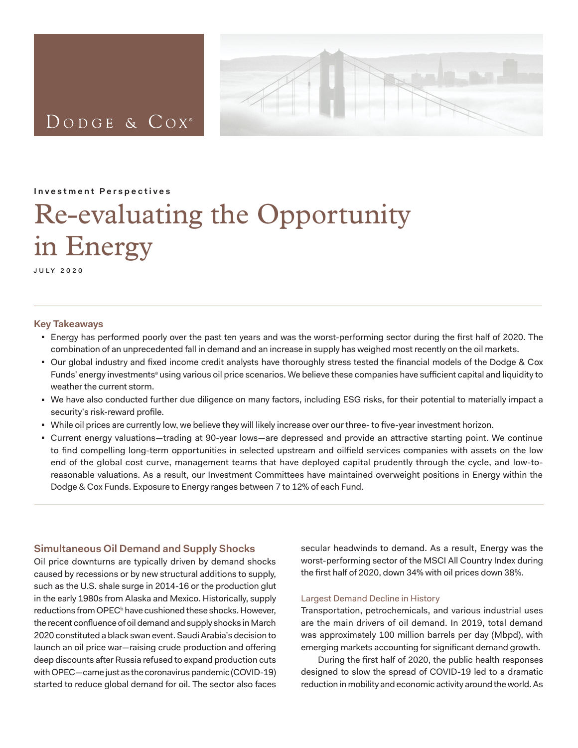

**Investment Perspectives**

<span id="page-0-0"></span>DODGE & COX<sup>®</sup>

# Re-evaluating the Opportunity in Energy

july 2020

#### **Key Takeaways**

- <sup>◼</sup> Energy has performed poorly over the past ten years and was the worst-performing sector during the first half of 2020. The combination of an unprecedented fall in demand and an increase in supply has weighed most recently on the oil markets.
- Our global industry and fixed income credit analysts have thoroughly stress tested the financial models of the Dodge & Cox Funds' energy investmentsª using various oil price scenarios. We believe these companies have sufficient capital and liquidity to weather the current storm.
- <sup>◼</sup> We have also conducted further due diligence on many factors, including ESG risks, for their potential to materially impact a security's risk-reward profile.
- While oil prices are currently low, we believe they will likely increase over our three- to five-year investment horizon.
- <sup>◼</sup> Current energy valuations—trading at 90-year lows—are depressed and provide an attractive starting point. We continue to find compelling long-term opportunities in selected upstream and oilfield services companies with assets on the low end of the global cost curve, management teams that have deployed capital prudently through the cycle, and low-toreasonable valuations. As a result, our Investment Committees have maintained overweight positions in Energy within the Dodge & Cox Funds. Exposure to Energy ranges between 7 to 12% of each Fund.

## **Simultaneous Oil Demand and Supply Shocks**

Oil price downturns are typically driven by demand shocks caused by recessions or by new structural additions to supply, such as the U.S. shale surge in 2014-16 or the production glut in the early 1980s from Alaska and Mexico. Historically, supply reductions from OPEC<sup>b</sup> have cushioned these shocks. However, the recent confluence of oil demand and supply shocks in March 2020 constituted a black swan event. Saudi Arabia's decision to launch an oil price war—raising crude production and offering deep discounts after Russia refused to expand production cuts with OPEC—came just as the coronavirus pandemic (COVID-19) started to reduce global demand for oil. The sector also faces secular headwinds to demand. As a result, Energy was the worst-performing sector of the MSCI All Country Index during the first half of 2020, down 34% with oil prices down 38%.

### Largest Demand Decline in History

Transportation, petrochemicals, and various industrial uses are the main drivers of oil demand. In 2019, total demand was approximately 100 million barrels per day (Mbpd), with emerging markets accounting for significant demand growth.

During the first half of 2020, the public health responses designed to slow the spread of COVID-19 led to a dramatic reduction in mobility and economic activity around the world. As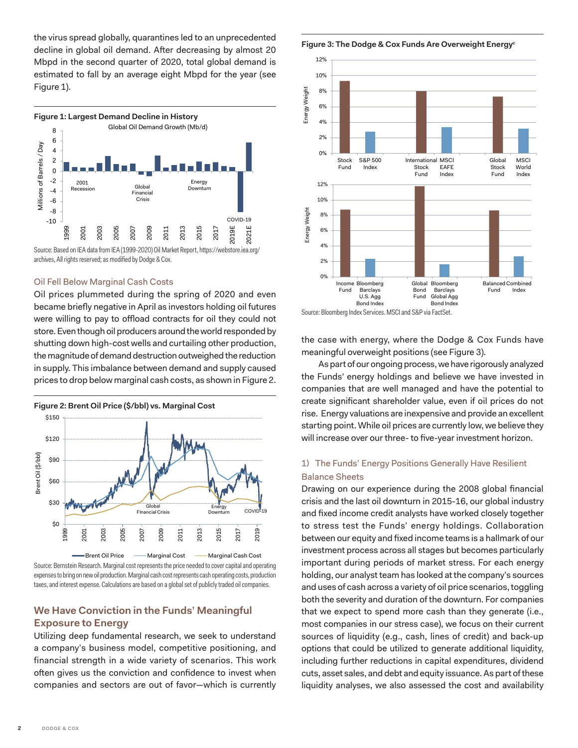the virus spread globally, quarantines led to an unprecedented decline in global oil demand. After decreasing by almost 20 Mbpd in the second quarter of 2020, total global demand is estimated to fall by an average eight Mbpd for the year (see Figure 1).



Source: Based on IEA data from IEA (1999-2020) Oil Market Report, https://webstore.iea.org/ archives, All rights reserved; as modified by Dodge & Cox.

### Oil Fell Below Marginal Cash Costs

Oil prices plummeted during the spring of 2020 and even became briefly negative in April as investors holding oil futures were willing to pay to offload contracts for oil they could not store. Even though oil producers around the world responded by shutting down high-cost wells and curtailing other production, the magnitude of demand destruction outweighed the reduction in supply. This imbalance between demand and supply caused prices to drop below marginal cash costs, as shown in Figure 2.



Source: Bernstein Research. Marginal cost represents the price needed to cover capital and operating expenses to bring on new oil production. Marginal cash cost represents cash operating costs, production taxes, and interest expense. Calculations are based on a global set of publicly traded oil companies.

## **We Have Conviction in the Funds' Meaningful Exposure to Energy**

Utilizing deep fundamental research, we seek to understand a company's business model, competitive positioning, and financial strength in a wide variety of scenarios. This work often gives us the conviction and confidence to invest when companies and sectors are out of favor—which is currently

Figure 3: The Dodge & Cox Funds Are Overweight Energy<sup>c</sup>



Source: Bloomberg Index Services. MSCI and S&P via FactSet.

the case with energy, where the Dodge & Cox Funds have meaningful overweight positions (see Figure 3).

As part of our ongoing process, we have rigorously analyzed the Funds' energy holdings and believe we have invested in companies that are well managed and have the potential to create significant shareholder value, even if oil prices do not rise. Energy valuations are inexpensive and provide an excellent starting point. While oil prices are currently low, we believe they will increase over our three- to five-year investment horizon.

## 1) The Funds' Energy Positions Generally Have Resilient Balance Sheets

Drawing on our experience during the 2008 global financial crisis and the last oil downturn in 2015-16, our global industry and fixed income credit analysts have worked closely together to stress test the Funds' energy holdings. Collaboration between our equity and fixed income teams is a hallmark of our investment process across all stages but becomes particularly important during periods of market stress. For each energy holding, our analyst team has looked at the company's sources and uses of cash across a variety of oil price scenarios, toggling both the severity and duration of the downturn. For companies that we expect to spend more cash than they generate (i.e., most companies in our stress case), we focus on their current sources of liquidity (e.g., cash, lines of credit) and back-up options that could be utilized to generate additional liquidity, including further reductions in capital expenditures, dividend cuts, asset sales, and debt and equity issuance. As part of these liquidity analyses, we also assessed the cost and availability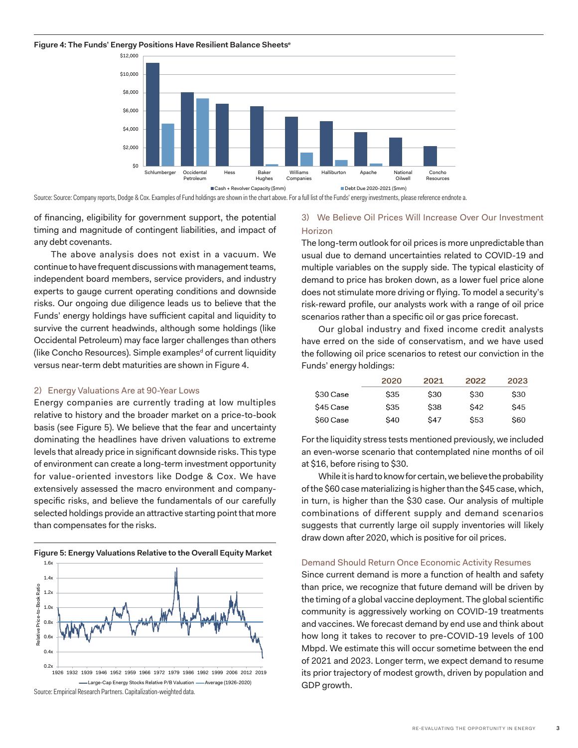#### **Figure 4: The Funds' Energy Positions Have Resilient Balance Sheetse**



Source: Source: Company reports, Dodge & Cox. Examples of Fund holdings are shown in the chart above. For a full list of the Funds' energy investments, please reference endnote a.

of financing, eligibility for government support, the potential timing and magnitude of contingent liabilities, and impact of any debt covenants.

The above analysis does not exist in a vacuum. We continue to have frequent discussions with management teams, independent board members, service providers, and industry experts to gauge current operating conditions and downside risks. Our ongoing due diligence leads us to believe that the Funds' energy holdings have sufficient capital and liquidity to survive the current headwinds, although some holdings (like Occidental Petroleum) may face larger challenges than others (like Concho Resources). Simple examples<sup>d</sup> of current liquidity versus near-term debt maturities are shown in Figure 4.

#### 2) Energy Valuations Are at 90-Year Lows

Energy companies are currently trading at low multiples relative to history and the broader market on a price-to-book basis (see Figure 5). We believe that the fear and uncertainty dominating the headlines have driven valuations to extreme levels that already price in significant downside risks. This type of environment can create a long-term investment opportunity for value-oriented investors like Dodge & Cox. We have extensively assessed the macro environment and companyspecific risks, and believe the fundamentals of our carefully selected holdings provide an attractive starting point that more than compensates for the risks.



## 3) We Believe Oil Prices Will Increase Over Our Investment **Horizon**

The long-term outlook for oil prices is more unpredictable than usual due to demand uncertainties related to COVID-19 and multiple variables on the supply side. The typical elasticity of demand to price has broken down, as a lower fuel price alone does not stimulate more driving or flying. To model a security's risk-reward profile, our analysts work with a range of oil price scenarios rather than a specific oil or gas price forecast.

Our global industry and fixed income credit analysts have erred on the side of conservatism, and we have used the following oil price scenarios to retest our conviction in the Funds' energy holdings:

|           | 2020       | 2021        | 2022       | 2023       |
|-----------|------------|-------------|------------|------------|
| \$30 Case | <b>S35</b> | \$30        | \$30       | <b>S30</b> |
| \$45 Case | <b>S35</b> | \$38        | \$42       | <b>S45</b> |
| \$60 Case | \$40       | <b>\$47</b> | <b>S53</b> | \$60       |

For the liquidity stress tests mentioned previously, we included an even-worse scenario that contemplated nine months of oil at \$16, before rising to \$30.

While it is hard to know for certain, we believe the probability of the \$60 case materializing is higher than the \$45 case, which, in turn, is higher than the \$30 case. Our analysis of multiple combinations of different supply and demand scenarios suggests that currently large oil supply inventories will likely draw down after 2020, which is positive for oil prices.

#### Demand Should Return Once Economic Activity Resumes

Mbpd. We estimate this will occur sometime between the end Since current demand is more a function of health and safety than price, we recognize that future demand will be driven by the timing of a global vaccine deployment. The global scientific community is aggressively working on COVID-19 treatments and vaccines. We forecast demand by end use and think about how long it takes to recover to pre-COVID-19 levels of 100 of 2021 and 2023. Longer term, we expect demand to resume its prior trajectory of modest growth, driven by population and GDP growth.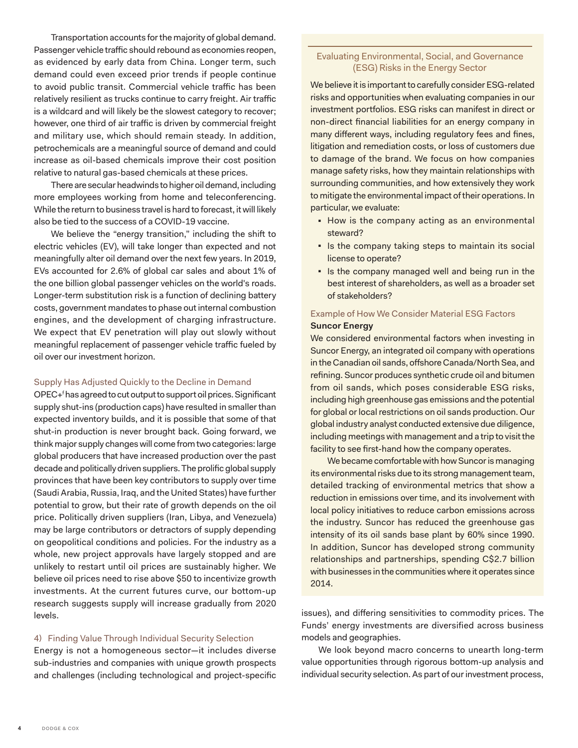Transportation accounts for the majority of global demand. Passenger vehicle traffic should rebound as economies reopen, as evidenced by early data from China. Longer term, such demand could even exceed prior trends if people continue to avoid public transit. Commercial vehicle traffic has been relatively resilient as trucks continue to carry freight. Air traffic is a wildcard and will likely be the slowest category to recover; however, one third of air traffic is driven by commercial freight and military use, which should remain steady. In addition, petrochemicals are a meaningful source of demand and could increase as oil-based chemicals improve their cost position relative to natural gas-based chemicals at these prices.

There are secular headwinds to higher oil demand, including more employees working from home and teleconferencing. While the return to business travel is hard to forecast, it will likely also be tied to the success of a COVID-19 vaccine.

We believe the "energy transition," including the shift to electric vehicles (EV), will take longer than expected and not meaningfully alter oil demand over the next few years. In 2019, EVs accounted for 2.6% of global car sales and about 1% of the one billion global passenger vehicles on the world's roads. Longer-term substitution risk is a function of declining battery costs, government mandates to phase out internal combustion engines, and the development of charging infrastructure. We expect that EV penetration will play out slowly without meaningful replacement of passenger vehicle traffic fueled by oil over our investment horizon.

### Supply Has Adjusted Quickly to the Decline in Demand

OPEC+f has agreed to cut output to support oil prices. Significant supply shut-ins (production caps) have resulted in smaller than expected inventory builds, and it is possible that some of that shut-in production is never brought back. Going forward, we think major supply changes will come from two categories: large global producers that have increased production over the past decade and politically driven suppliers. The prolific global supply provinces that have been key contributors to supply over time (Saudi Arabia, Russia, Iraq, and the United States) have further potential to grow, but their rate of growth depends on the oil price. Politically driven suppliers (Iran, Libya, and Venezuela) may be large contributors or detractors of supply depending on geopolitical conditions and policies. For the industry as a whole, new project approvals have largely stopped and are unlikely to restart until oil prices are sustainably higher. We believe oil prices need to rise above \$50 to incentivize growth investments. At the current futures curve, our bottom-up research suggests supply will increase gradually from 2020 levels.

### 4) Finding Value Through Individual Security Selection

Energy is not a homogeneous sector—it includes diverse sub-industries and companies with unique growth prospects and challenges (including technological and project-specific

## Evaluating Environmental, Social, and Governance (ESG) Risks in the Energy Sector

We believe it is important to carefully consider ESG-related risks and opportunities when evaluating companies in our investment portfolios. ESG risks can manifest in direct or non-direct financial liabilities for an energy company in many different ways, including regulatory fees and fines, litigation and remediation costs, or loss of customers due to damage of the brand. We focus on how companies manage safety risks, how they maintain relationships with surrounding communities, and how extensively they work to mitigate the environmental impact of their operations. In particular, we evaluate:

- How is the company acting as an environmental steward?
- Is the company taking steps to maintain its social license to operate?
- Is the company managed well and being run in the best interest of shareholders, as well as a broader set of stakeholders?

## Example of How We Consider Material ESG Factors

## **Suncor Energy**

We considered environmental factors when investing in Suncor Energy, an integrated oil company with operations in the Canadian oil sands, offshore Canada/North Sea, and refining. Suncor produces synthetic crude oil and bitumen from oil sands, which poses considerable ESG risks, including high greenhouse gas emissions and the potential for global or local restrictions on oil sands production. Our global industry analyst conducted extensive due diligence, including meetings with management and a trip to visit the facility to see first-hand how the company operates.

We became comfortable with how Suncor is managing its environmental risks due to its strong management team, detailed tracking of environmental metrics that show a reduction in emissions over time, and its involvement with local policy initiatives to reduce carbon emissions across the industry. Suncor has reduced the greenhouse gas intensity of its oil sands base plant by 60% since 1990. In addition, Suncor has developed strong community relationships and partnerships, spending C\$2.7 billion with businesses in the communities where it operates since 2014.

issues), and differing sensitivities to commodity prices. The Funds' energy investments are diversified across business models and geographies.

We look beyond macro concerns to unearth long-term value opportunities through rigorous bottom-up analysis and individual security selection. As part of our investment process,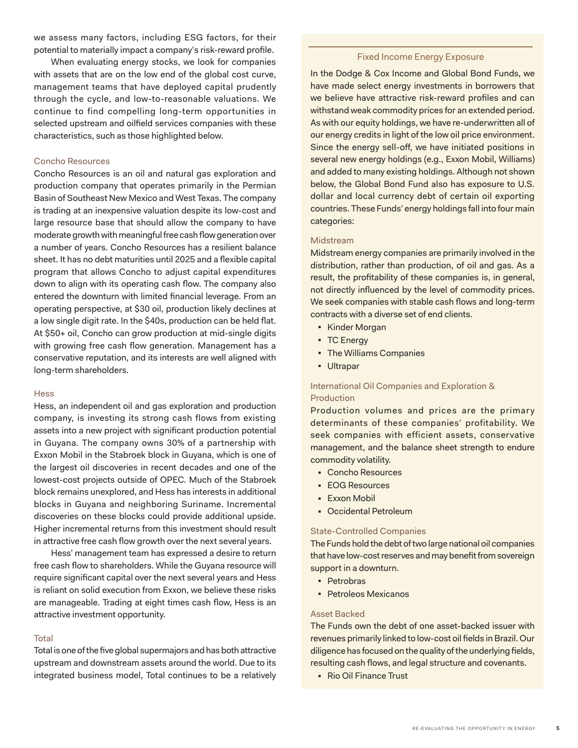we assess many factors, including ESG factors, for their potential to materially impact a company's risk-reward profile.

When evaluating energy stocks, we look for companies with assets that are on the low end of the global cost curve, management teams that have deployed capital prudently through the cycle, and low-to-reasonable valuations. We continue to find compelling long-term opportunities in selected upstream and oilfield services companies with these characteristics, such as those highlighted below.

## Concho Resources

Concho Resources is an oil and natural gas exploration and production company that operates primarily in the Permian Basin of Southeast New Mexico and West Texas. The company is trading at an inexpensive valuation despite its low-cost and large resource base that should allow the company to have moderate growth with meaningful free cash flow generation over a number of years. Concho Resources has a resilient balance sheet. It has no debt maturities until 2025 and a flexible capital program that allows Concho to adjust capital expenditures down to align with its operating cash flow. The company also entered the downturn with limited financial leverage. From an operating perspective, at \$30 oil, production likely declines at a low single digit rate. In the \$40s, production can be held flat. At \$50+ oil, Concho can grow production at mid-single digits with growing free cash flow generation. Management has a conservative reputation, and its interests are well aligned with long-term shareholders.

#### **Hess**

Hess, an independent oil and gas exploration and production company, is investing its strong cash flows from existing assets into a new project with significant production potential in Guyana. The company owns 30% of a partnership with Exxon Mobil in the Stabroek block in Guyana, which is one of the largest oil discoveries in recent decades and one of the lowest-cost projects outside of OPEC. Much of the Stabroek block remains unexplored, and Hess has interests in additional blocks in Guyana and neighboring Suriname. Incremental discoveries on these blocks could provide additional upside. Higher incremental returns from this investment should result in attractive free cash flow growth over the next several years.

Hess' management team has expressed a desire to return free cash flow to shareholders. While the Guyana resource will require significant capital over the next several years and Hess is reliant on solid execution from Exxon, we believe these risks are manageable. Trading at eight times cash flow, Hess is an attractive investment opportunity.

#### **Total**

Total is one of the five global supermajors and has both attractive upstream and downstream assets around the world. Due to its integrated business model, Total continues to be a relatively

## Fixed Income Energy Exposure

In the Dodge & Cox Income and Global Bond Funds, we have made select energy investments in borrowers that we believe have attractive risk-reward profiles and can withstand weak commodity prices for an extended period. As with our equity holdings, we have re-underwritten all of our energy credits in light of the low oil price environment. Since the energy sell-off, we have initiated positions in several new energy holdings (e.g., Exxon Mobil, Williams) and added to many existing holdings. Although not shown below, the Global Bond Fund also has exposure to U.S. dollar and local currency debt of certain oil exporting countries. These Funds' energy holdings fall into four main categories:

#### Midstream

Midstream energy companies are primarily involved in the distribution, rather than production, of oil and gas. As a result, the profitability of these companies is, in general, not directly influenced by the level of commodity prices. We seek companies with stable cash flows and long-term contracts with a diverse set of end clients.

- Kinder Morgan
- TC Energy
- The Williams Companies
- Ultrapar

## International Oil Companies and Exploration & Production

Production volumes and prices are the primary determinants of these companies' profitability. We seek companies with efficient assets, conservative management, and the balance sheet strength to endure commodity volatility.

- Concho Resources
- EOG Resources
- Exxon Mobil
- Occidental Petroleum

### State-Controlled Companies

The Funds hold the debt of two large national oil companies that have low-cost reserves and may benefit from sovereign support in a downturn.

- Petrobras
- Petroleos Mexicanos

## Asset Backed

The Funds own the debt of one asset-backed issuer with revenues primarily linked to low-cost oil fields in Brazil. Our diligence has focused on the quality of the underlying fields, resulting cash flows, and legal structure and covenants.

■ Rio Oil Finance Trust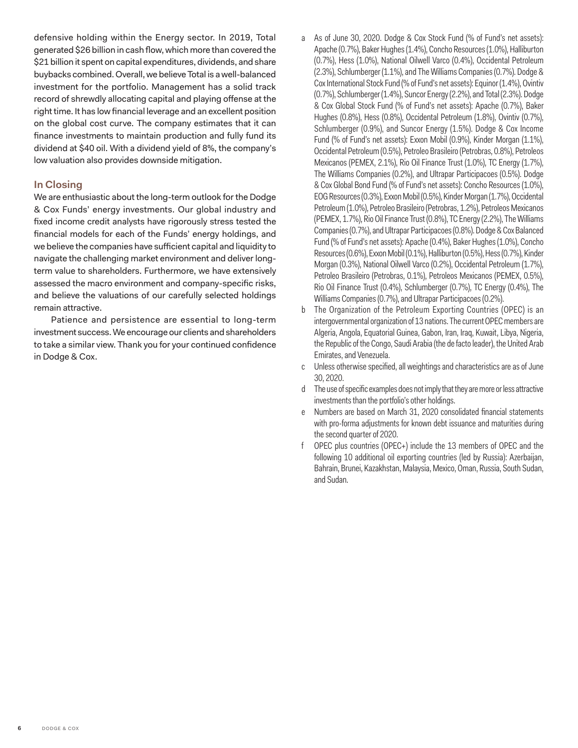<span id="page-5-0"></span>defensive holding within the Energy sector. In 2019, Total generated \$26 billion in cash flow, which more than covered the \$21 billion it spent on capital expenditures, dividends, and share buybacks combined. Overall, we believe Total is a well-balanced investment for the portfolio. Management has a solid track record of shrewdly allocating capital and playing offense at the right time. It has low financial leverage and an excellent position on the global cost curve. The company estimates that it can finance investments to maintain production and fully fund its dividend at \$40 oil. With a dividend yield of 8%, the company's low valuation also provides downside mitigation.

## **In Closing**

We are enthusiastic about the long-term outlook for the Dodge & Cox Funds' energy investments. Our global industry and fixed income credit analysts have rigorously stress tested the financial models for each of the Funds' energy holdings, and we believe the companies have sufficient capital and liquidity to navigate the challenging market environment and deliver longterm value to shareholders. Furthermore, we have extensively assessed the macro environment and company-specific risks, and believe the valuations of our carefully selected holdings remain attractive.

Patience and persistence are essential to long-term investment success. We encourage our clients and shareholders to take a similar view. Thank you for your continued confidence in Dodge & Cox.

- [a](#page-0-0) As of June 30, 2020. Dodge & Cox Stock Fund (% of Fund's net assets): Apache (0.7%), Baker Hughes (1.4%), Concho Resources (1.0%), Halliburton (0.7%), Hess (1.0%), National Oilwell Varco (0.4%), Occidental Petroleum (2.3%), Schlumberger (1.1%), and The Williams Companies (0.7%). Dodge & Cox International Stock Fund (% of Fund's net assets): Equinor (1.4%), Ovintiv (0.7%), Schlumberger (1.4%), Suncor Energy (2.2%), and Total (2.3%). Dodge & Cox Global Stock Fund (% of Fund's net assets): Apache (0.7%), Baker Hughes (0.8%), Hess (0.8%), Occidental Petroleum (1.8%), Ovintiv (0.7%), Schlumberger (0.9%), and Suncor Energy (1.5%). Dodge & Cox Income Fund (% of Fund's net assets): Exxon Mobil (0.9%), Kinder Morgan (1.1%), Occidental Petroleum (0.5%), Petroleo Brasileiro (Petrobras, 0.8%), Petroleos Mexicanos (PEMEX, 2.1%), Rio Oil Finance Trust (1.0%), TC Energy (1.7%), The Williams Companies (0.2%), and Ultrapar Participacoes (0.5%). Dodge & Cox Global Bond Fund (% of Fund's net assets): Concho Resources (1.0%), EOG Resources (0.3%), Exxon Mobil (0.5%), Kinder Morgan (1.7%), Occidental Petroleum (1.0%), Petroleo Brasileiro (Petrobras, 1.2%), Petroleos Mexicanos (PEMEX, 1.7%), Rio Oil Finance Trust (0.8%), TC Energy (2.2%), The Williams Companies (0.7%), and Ultrapar Participacoes (0.8%). Dodge & Cox Balanced Fund (% of Fund's net assets): Apache (0.4%), Baker Hughes (1.0%), Concho Resources (0.6%), Exxon Mobil (0.1%), Halliburton (0.5%), Hess (0.7%), Kinder Morgan (0.3%), National Oilwell Varco (0.2%), Occidental Petroleum (1.7%), Petroleo Brasileiro (Petrobras, 0.1%), Petroleos Mexicanos (PEMEX, 0.5%), Rio Oil Finance Trust (0.4%), Schlumberger (0.7%), TC Energy (0.4%), The Williams Companies (0.7%), and Ultrapar Participacoes (0.2%).
- [b](#page-0-0) The Organization of the Petroleum Exporting Countries (OPEC) is an intergovernmental organization of 13 nations. The current OPEC members are Algeria, Angola, Equatorial Guinea, Gabon, Iran, Iraq, Kuwait, Libya, Nigeria, the Republic of the Congo, Saudi Arabia (the de facto leader), the United Arab Emirates, and Venezuela.
- c Unless otherwise specified, all weightings and characteristics are as of June 30, 2020.
- d The use of specific examples does not imply that they are more or less attractive investments than the portfolio's other holdings.
- e Numbers are based on March 31, 2020 consolidated financial statements with pro-forma adjustments for known debt issuance and maturities during the second quarter of 2020.
- f OPEC plus countries (OPEC+) include the 13 members of OPEC and the following 10 additional oil exporting countries (led by Russia): Azerbaijan, Bahrain, Brunei, Kazakhstan, Malaysia, Mexico, Oman, Russia, South Sudan, and Sudan.